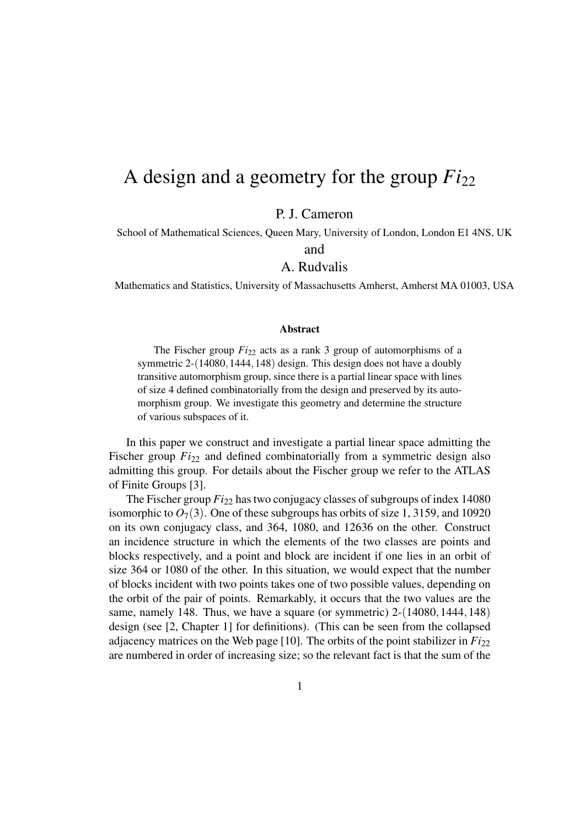## A design and a geometry for the group *Fi*<sup>22</sup>

P. J. Cameron

School of Mathematical Sciences, Queen Mary, University of London, London E1 4NS, UK

and

## A. Rudvalis

Mathematics and Statistics, University of Massachusetts Amherst, Amherst MA 01003, USA

## Abstract

The Fischer group  $Fi_{22}$  acts as a rank 3 group of automorphisms of a symmetric 2-(14080, 1444, 148) design. This design does not have a doubly transitive automorphism group, since there is a partial linear space with lines of size 4 defined combinatorially from the design and preserved by its automorphism group. We investigate this geometry and determine the structure of various subspaces of it.

In this paper we construct and investigate a partial linear space admitting the Fischer group  $Fi_{22}$  and defined combinatorially from a symmetric design also admitting this group. For details about the Fischer group we refer to the ATLAS of Finite Groups [3].

The Fischer group *Fi*<sub>22</sub> has two conjugacy classes of subgroups of index 14080 isomorphic to  $O_7(3)$ . One of these subgroups has orbits of size 1, 3159, and 10920 on its own conjugacy class, and 364, 1080, and 12636 on the other. Construct an incidence structure in which the elements of the two classes are points and blocks respectively, and a point and block are incident if one lies in an orbit of size 364 or 1080 of the other. In this situation, we would expect that the number of blocks incident with two points takes one of two possible values, depending on the orbit of the pair of points. Remarkably, it occurs that the two values are the same, namely 148. Thus, we have a square (or symmetric)  $2-(14080,1444,148)$ design (see [2, Chapter 1] for definitions). (This can be seen from the collapsed adjacency matrices on the Web page  $[10]$ . The orbits of the point stabilizer in  $Fi_{22}$ are numbered in order of increasing size; so the relevant fact is that the sum of the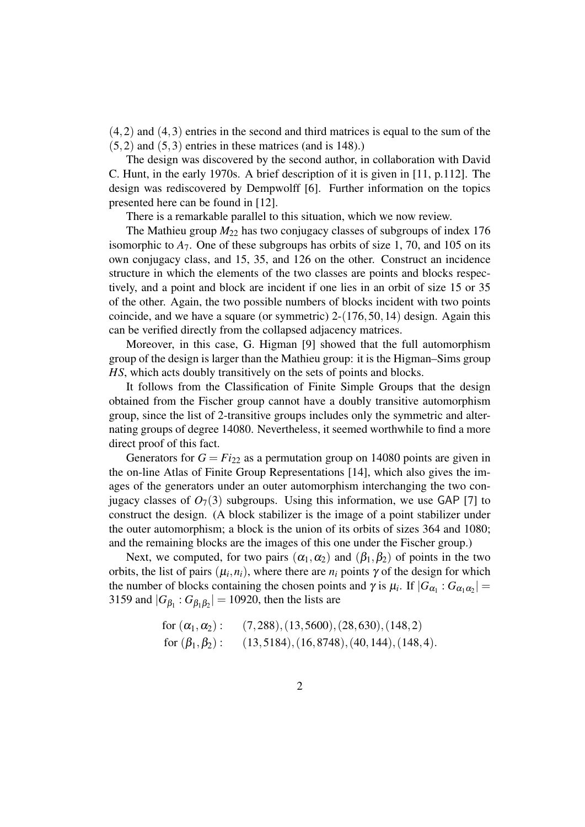(4,2) and (4,3) entries in the second and third matrices is equal to the sum of the  $(5,2)$  and  $(5,3)$  entries in these matrices (and is 148).)

The design was discovered by the second author, in collaboration with David C. Hunt, in the early 1970s. A brief description of it is given in [11, p.112]. The design was rediscovered by Dempwolff [6]. Further information on the topics presented here can be found in [12].

There is a remarkable parallel to this situation, which we now review.

The Mathieu group  $M_{22}$  has two conjugacy classes of subgroups of index 176 isomorphic to  $A_7$ . One of these subgroups has orbits of size 1, 70, and 105 on its own conjugacy class, and 15, 35, and 126 on the other. Construct an incidence structure in which the elements of the two classes are points and blocks respectively, and a point and block are incident if one lies in an orbit of size 15 or 35 of the other. Again, the two possible numbers of blocks incident with two points coincide, and we have a square (or symmetric) 2-(176,50,14) design. Again this can be verified directly from the collapsed adjacency matrices.

Moreover, in this case, G. Higman [9] showed that the full automorphism group of the design is larger than the Mathieu group: it is the Higman–Sims group *HS*, which acts doubly transitively on the sets of points and blocks.

It follows from the Classification of Finite Simple Groups that the design obtained from the Fischer group cannot have a doubly transitive automorphism group, since the list of 2-transitive groups includes only the symmetric and alternating groups of degree 14080. Nevertheless, it seemed worthwhile to find a more direct proof of this fact.

Generators for  $G = Fi_{22}$  as a permutation group on 14080 points are given in the on-line Atlas of Finite Group Representations [14], which also gives the images of the generators under an outer automorphism interchanging the two conjugacy classes of  $O_7(3)$  subgroups. Using this information, we use GAP [7] to construct the design. (A block stabilizer is the image of a point stabilizer under the outer automorphism; a block is the union of its orbits of sizes 364 and 1080; and the remaining blocks are the images of this one under the Fischer group.)

Next, we computed, for two pairs  $(\alpha_1, \alpha_2)$  and  $(\beta_1, \beta_2)$  of points in the two orbits, the list of pairs  $(\mu_i, n_i)$ , where there are  $n_i$  points  $\gamma$  of the design for which the number of blocks containing the chosen points and  $\gamma$  is  $\mu_i$ . If  $|G_{\alpha_1} : G_{\alpha_1 \alpha_2}| =$ 3159 and  $|G_{\beta_1} : G_{\beta_1 \beta_2}| = 10920$ , then the lists are

for 
$$
(\alpha_1, \alpha_2)
$$
:  $(7,288), (13,5600), (28,630), (148,2)$   
for  $(\beta_1, \beta_2)$ :  $(13,5184), (16,8748), (40,144), (148,4)$ .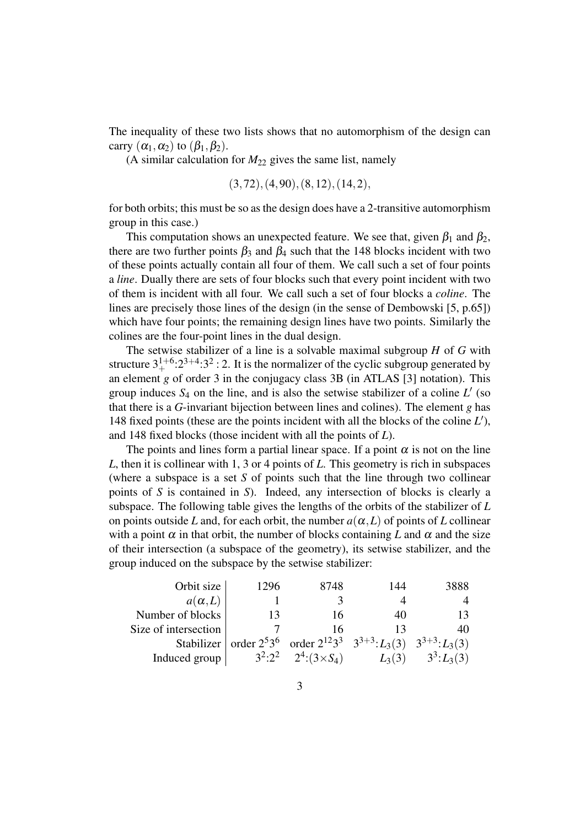The inequality of these two lists shows that no automorphism of the design can carry  $(\alpha_1, \alpha_2)$  to  $(\beta_1, \beta_2)$ .

(A similar calculation for  $M_{22}$  gives the same list, namely

$$
(3, 72), (4, 90), (8, 12), (14, 2),\\
$$

for both orbits; this must be so as the design does have a 2-transitive automorphism group in this case.)

This computation shows an unexpected feature. We see that, given  $\beta_1$  and  $\beta_2$ , there are two further points  $\beta_3$  and  $\beta_4$  such that the 148 blocks incident with two of these points actually contain all four of them. We call such a set of four points a *line*. Dually there are sets of four blocks such that every point incident with two of them is incident with all four. We call such a set of four blocks a *coline*. The lines are precisely those lines of the design (in the sense of Dembowski [5, p.65]) which have four points; the remaining design lines have two points. Similarly the colines are the four-point lines in the dual design.

The setwise stabilizer of a line is a solvable maximal subgroup *H* of *G* with structure  $3^{1+6}_{+}$ :  $2^{3+4}$ :  $3^2$  : 2. It is the normalizer of the cyclic subgroup generated by an element *g* of order 3 in the conjugacy class 3B (in ATLAS [3] notation). This group induces  $S_4$  on the line, and is also the setwise stabilizer of a coline  $L'$  (so that there is a *G*-invariant bijection between lines and colines). The element *g* has 148 fixed points (these are the points incident with all the blocks of the coline *L* 0 ), and 148 fixed blocks (those incident with all the points of *L*).

The points and lines form a partial linear space. If a point  $\alpha$  is not on the line *L*, then it is collinear with 1, 3 or 4 points of *L*. This geometry is rich in subspaces (where a subspace is a set *S* of points such that the line through two collinear points of *S* is contained in *S*). Indeed, any intersection of blocks is clearly a subspace. The following table gives the lengths of the orbits of the stabilizer of *L* on points outside *L* and, for each orbit, the number  $a(\alpha, L)$  of points of *L* collinear with a point  $\alpha$  in that orbit, the number of blocks containing L and  $\alpha$  and the size of their intersection (a subspace of the geometry), its setwise stabilizer, and the group induced on the subspace by the setwise stabilizer:

| Orbit size           | 1296 | 8748                                                                                    | 144      | 3888             |
|----------------------|------|-----------------------------------------------------------------------------------------|----------|------------------|
| $a(\alpha,L)$        |      |                                                                                         |          |                  |
| Number of blocks     | 13   | 16                                                                                      | 40       | 13               |
| Size of intersection |      | 16                                                                                      |          | 40               |
|                      |      | Stabilizer   order $2^53^6$ order $2^{12}3^3$ $3^{3+3}$ : $L_3(3)$ $3^{3+3}$ : $L_3(3)$ |          |                  |
| Induced group        |      | $3^2:2^2$ $2^4:(3\times S_4)$                                                           | $L_3(3)$ | $3^3$ : $L_3(3)$ |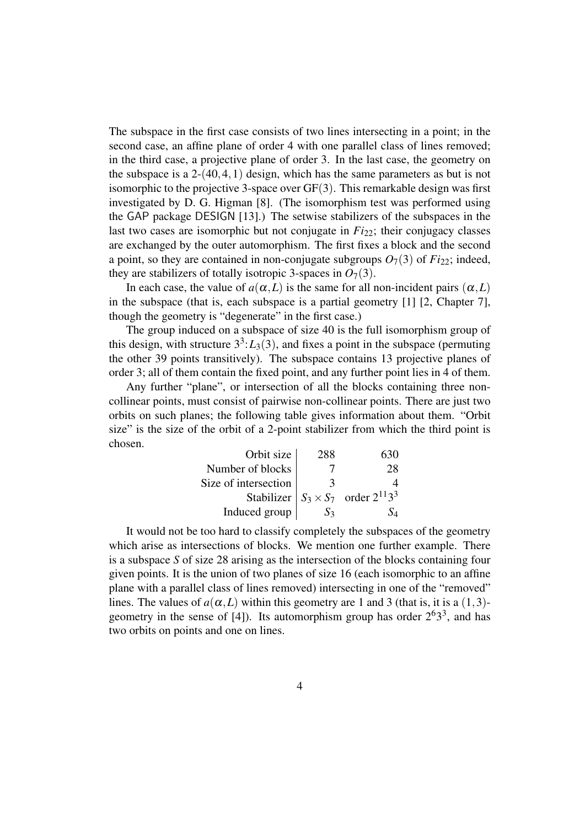The subspace in the first case consists of two lines intersecting in a point; in the second case, an affine plane of order 4 with one parallel class of lines removed; in the third case, a projective plane of order 3. In the last case, the geometry on the subspace is a  $2-(40,4,1)$  design, which has the same parameters as but is not isomorphic to the projective 3-space over GF(3). This remarkable design was first investigated by D. G. Higman [8]. (The isomorphism test was performed using the GAP package DESIGN [13].) The setwise stabilizers of the subspaces in the last two cases are isomorphic but not conjugate in  $Fi_{22}$ ; their conjugacy classes are exchanged by the outer automorphism. The first fixes a block and the second a point, so they are contained in non-conjugate subgroups  $O_7(3)$  of  $Fi_{22}$ ; indeed, they are stabilizers of totally isotropic 3-spaces in  $O_7(3)$ .

In each case, the value of  $a(\alpha, L)$  is the same for all non-incident pairs  $(\alpha, L)$ in the subspace (that is, each subspace is a partial geometry [1] [2, Chapter 7], though the geometry is "degenerate" in the first case.)

The group induced on a subspace of size 40 is the full isomorphism group of this design, with structure  $3^3$ : $L_3(3)$ , and fixes a point in the subspace (permuting the other 39 points transitively). The subspace contains 13 projective planes of order 3; all of them contain the fixed point, and any further point lies in 4 of them.

Any further "plane", or intersection of all the blocks containing three noncollinear points, must consist of pairwise non-collinear points. There are just two orbits on such planes; the following table gives information about them. "Orbit size" is the size of the orbit of a 2-point stabilizer from which the third point is chosen.

| Orbit size           | 288 |                                               |
|----------------------|-----|-----------------------------------------------|
| Number of blocks     |     | 28                                            |
| Size of intersection | 3   |                                               |
|                      |     | Stabilizer $S_3 \times S_7$ order $2^{11}3^3$ |
| Induced group        | S2  |                                               |

It would not be too hard to classify completely the subspaces of the geometry which arise as intersections of blocks. We mention one further example. There is a subspace *S* of size 28 arising as the intersection of the blocks containing four given points. It is the union of two planes of size 16 (each isomorphic to an affine plane with a parallel class of lines removed) intersecting in one of the "removed" lines. The values of  $a(\alpha, L)$  within this geometry are 1 and 3 (that is, it is a (1,3)geometry in the sense of [4]). Its automorphism group has order  $2^{6}3^{3}$ , and has two orbits on points and one on lines.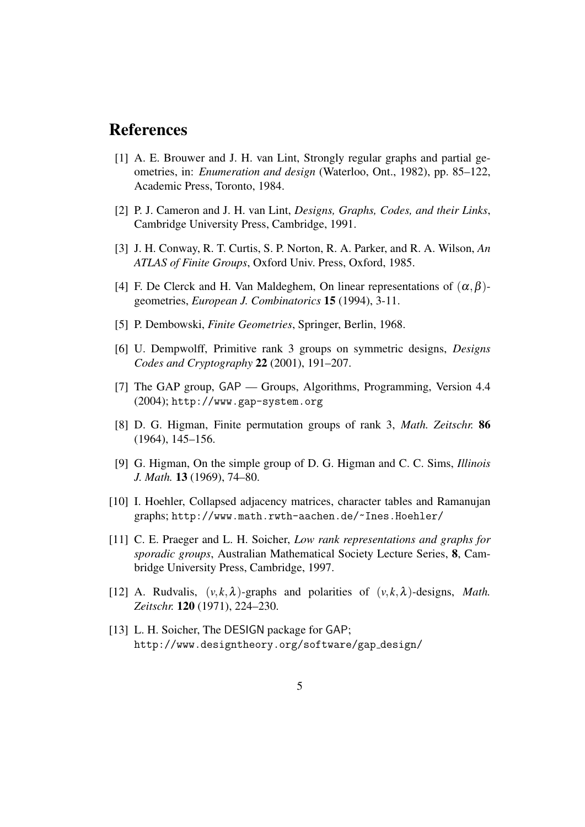## References

- [1] A. E. Brouwer and J. H. van Lint, Strongly regular graphs and partial geometries, in: *Enumeration and design* (Waterloo, Ont., 1982), pp. 85–122, Academic Press, Toronto, 1984.
- [2] P. J. Cameron and J. H. van Lint, *Designs, Graphs, Codes, and their Links*, Cambridge University Press, Cambridge, 1991.
- [3] J. H. Conway, R. T. Curtis, S. P. Norton, R. A. Parker, and R. A. Wilson, *An ATLAS of Finite Groups*, Oxford Univ. Press, Oxford, 1985.
- [4] F. De Clerck and H. Van Maldeghem, On linear representations of  $(\alpha, \beta)$ geometries, *European J. Combinatorics* 15 (1994), 3-11.
- [5] P. Dembowski, *Finite Geometries*, Springer, Berlin, 1968.
- [6] U. Dempwolff, Primitive rank 3 groups on symmetric designs, *Designs Codes and Cryptography* 22 (2001), 191–207.
- [7] The GAP group, GAP Groups, Algorithms, Programming, Version 4.4 (2004); http://www.gap-system.org
- [8] D. G. Higman, Finite permutation groups of rank 3, *Math. Zeitschr.* 86 (1964), 145–156.
- [9] G. Higman, On the simple group of D. G. Higman and C. C. Sims, *Illinois J. Math.* 13 (1969), 74–80.
- [10] I. Hoehler, Collapsed adjacency matrices, character tables and Ramanujan graphs; http://www.math.rwth-aachen.de/~Ines.Hoehler/
- [11] C. E. Praeger and L. H. Soicher, *Low rank representations and graphs for sporadic groups*, Australian Mathematical Society Lecture Series, 8, Cambridge University Press, Cambridge, 1997.
- [12] A. Rudvalis,  $(v, k, \lambda)$ -graphs and polarities of  $(v, k, \lambda)$ -designs, *Math. Zeitschr.* 120 (1971), 224–230.
- [13] L. H. Soicher, The DESIGN package for GAP; http://www.designtheory.org/software/gap design/